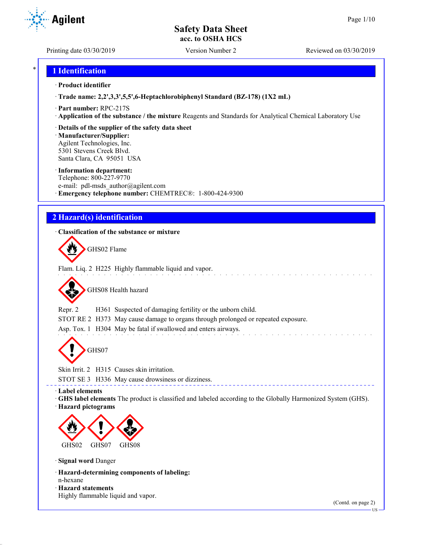Printing date 03/30/2019 Version Number 2 Reviewed on 03/30/2019

**Agilent** 

# \* **1 Identification**

#### · **Product identifier**

· **Trade name: 2,2',3,3',5,5',6-Heptachlorobiphenyl Standard (BZ-178) (1X2 mL)**

- · **Part number:** RPC-217S
- · **Application of the substance / the mixture** Reagents and Standards for Analytical Chemical Laboratory Use
- · **Details of the supplier of the safety data sheet**

· **Manufacturer/Supplier:** Agilent Technologies, Inc. 5301 Stevens Creek Blvd. Santa Clara, CA 95051 USA

#### · **Information department:**

Telephone: 800-227-9770 e-mail: pdl-msds author@agilent.com · **Emergency telephone number:** CHEMTREC®: 1-800-424-9300

# **2 Hazard(s) identification**

#### · **Classification of the substance or mixture**

GHS02 Flame

Flam. Liq. 2 H225 Highly flammable liquid and vapor.

GHS08 Health hazard

Repr. 2 H361 Suspected of damaging fertility or the unborn child.

STOT RE 2 H373 May cause damage to organs through prolonged or repeated exposure.

Asp. Tox. 1 H304 May be fatal if swallowed and enters airways.

GHS07

Skin Irrit. 2 H315 Causes skin irritation.

STOT SE 3 H336 May cause drowsiness or dizziness.

· **Label elements**

· **GHS label elements** The product is classified and labeled according to the Globally Harmonized System (GHS).

\_\_\_\_\_\_\_\_\_\_\_\_\_\_

· **Hazard pictograms**



· **Signal word** Danger

- · **Hazard-determining components of labeling:**
- n-hexane

· **Hazard statements** Highly flammable liquid and vapor.

(Contd. on page 2)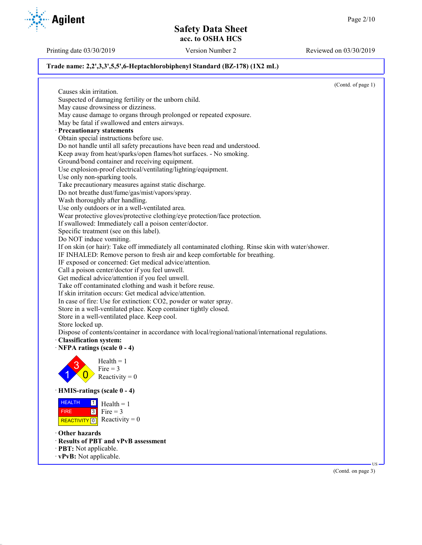Printing date 03/30/2019 Version Number 2 Reviewed on 03/30/2019

### **Trade name: 2,2',3,3',5,5',6-Heptachlorobiphenyl Standard (BZ-178) (1X2 mL)**

(Contd. of page 1) Causes skin irritation. Suspected of damaging fertility or the unborn child. May cause drowsiness or dizziness. May cause damage to organs through prolonged or repeated exposure. May be fatal if swallowed and enters airways. · **Precautionary statements** Obtain special instructions before use. Do not handle until all safety precautions have been read and understood. Keep away from heat/sparks/open flames/hot surfaces. - No smoking. Ground/bond container and receiving equipment. Use explosion-proof electrical/ventilating/lighting/equipment. Use only non-sparking tools. Take precautionary measures against static discharge. Do not breathe dust/fume/gas/mist/vapors/spray. Wash thoroughly after handling. Use only outdoors or in a well-ventilated area. Wear protective gloves/protective clothing/eye protection/face protection. If swallowed: Immediately call a poison center/doctor. Specific treatment (see on this label). Do NOT induce vomiting. If on skin (or hair): Take off immediately all contaminated clothing. Rinse skin with water/shower. IF INHALED: Remove person to fresh air and keep comfortable for breathing. IF exposed or concerned: Get medical advice/attention. Call a poison center/doctor if you feel unwell. Get medical advice/attention if you feel unwell. Take off contaminated clothing and wash it before reuse. If skin irritation occurs: Get medical advice/attention. In case of fire: Use for extinction: CO2, powder or water spray. Store in a well-ventilated place. Keep container tightly closed. Store in a well-ventilated place. Keep cool. Store locked up. Dispose of contents/container in accordance with local/regional/national/international regulations. · **Classification system:** · **NFPA ratings (scale 0 - 4)** 1 3  $\overline{0}$  $Health = 1$ Fire  $= 3$ Reactivity  $= 0$ · **HMIS-ratings (scale 0 - 4)** HEALTH FIRE REACTIVITY  $\boxed{0}$  Reactivity = 0  $\frac{1}{\Box}$  Health = 1  $3$  Fire = 3 · **Other hazards** · **Results of PBT and vPvB assessment** · **PBT:** Not applicable. · **vPvB:** Not applicable. US (Contd. on page 3)

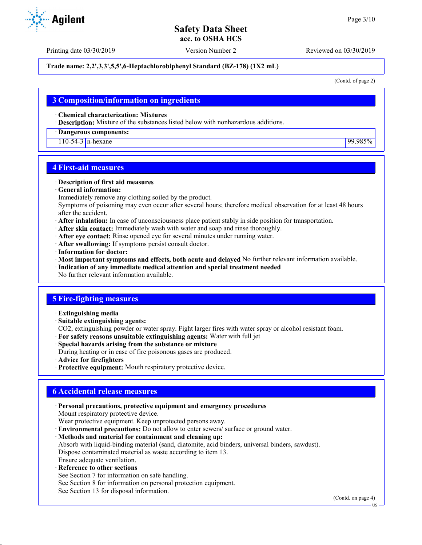Printing date 03/30/2019 Version Number 2 Reviewed on 03/30/2019

#### **Trade name: 2,2',3,3',5,5',6-Heptachlorobiphenyl Standard (BZ-178) (1X2 mL)**

(Contd. of page 2)

## **3 Composition/information on ingredients**

· **Chemical characterization: Mixtures**

· **Description:** Mixture of the substances listed below with nonhazardous additions.

· **Dangerous components:**

110-54-3 n-hexane 99.985%

## **4 First-aid measures**

#### · **Description of first aid measures**

· **General information:**

Immediately remove any clothing soiled by the product.

Symptoms of poisoning may even occur after several hours; therefore medical observation for at least 48 hours after the accident.

- · **After inhalation:** In case of unconsciousness place patient stably in side position for transportation.
- · **After skin contact:** Immediately wash with water and soap and rinse thoroughly.
- · **After eye contact:** Rinse opened eye for several minutes under running water.
- · **After swallowing:** If symptoms persist consult doctor.
- · **Information for doctor:**
- · **Most important symptoms and effects, both acute and delayed** No further relevant information available.
- · **Indication of any immediate medical attention and special treatment needed**
- No further relevant information available.

## **5 Fire-fighting measures**

- · **Extinguishing media**
- · **Suitable extinguishing agents:**
- CO2, extinguishing powder or water spray. Fight larger fires with water spray or alcohol resistant foam.
- · **For safety reasons unsuitable extinguishing agents:** Water with full jet
- · **Special hazards arising from the substance or mixture**
- During heating or in case of fire poisonous gases are produced.
- · **Advice for firefighters**
- · **Protective equipment:** Mouth respiratory protective device.

# **6 Accidental release measures**

- · **Personal precautions, protective equipment and emergency procedures** Mount respiratory protective device. Wear protective equipment. Keep unprotected persons away. · **Environmental precautions:** Do not allow to enter sewers/ surface or ground water. · **Methods and material for containment and cleaning up:** Absorb with liquid-binding material (sand, diatomite, acid binders, universal binders, sawdust). Dispose contaminated material as waste according to item 13. Ensure adequate ventilation. **Reference to other sections** See Section 7 for information on safe handling.
- See Section 8 for information on personal protection equipment.
- See Section 13 for disposal information.

(Contd. on page 4)



US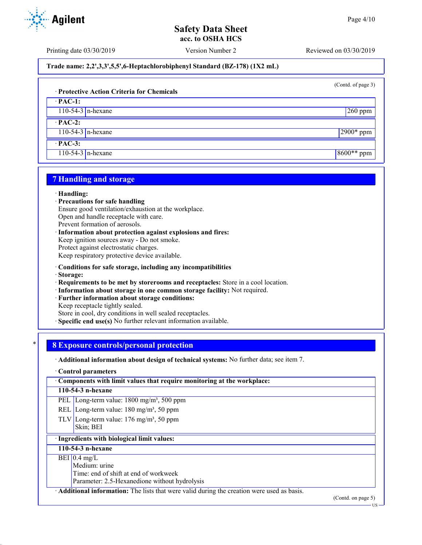Printing date 03/30/2019 Version Number 2 Reviewed on 03/30/2019

**Trade name: 2,2',3,3',5,5',6-Heptachlorobiphenyl Standard (BZ-178) (1X2 mL)**

(Contd. of page 3)

## · **Protective Action Criteria for Chemicals**

· **PAC-1:**

110-54-3 n-hexane 260 ppm

· **PAC-2:** 110-54-3 n-hexane 2900\* ppm

· **PAC-3:**

110-54-3 n-hexane 8600<sup>\*\*</sup> ppm

# **7 Handling and storage**

#### · **Handling:**

- · **Precautions for safe handling**
- Ensure good ventilation/exhaustion at the workplace.

Open and handle receptacle with care.

Prevent formation of aerosols.

· **Information about protection against explosions and fires:** Keep ignition sources away - Do not smoke. Protect against electrostatic charges. Keep respiratory protective device available.

- · **Conditions for safe storage, including any incompatibilities**
- · **Storage:**
- · **Requirements to be met by storerooms and receptacles:** Store in a cool location.
- · **Information about storage in one common storage facility:** Not required.
- · **Further information about storage conditions:**

Keep receptacle tightly sealed.

Store in cool, dry conditions in well sealed receptacles.

· **Specific end use(s)** No further relevant information available.

## \* **8 Exposure controls/personal protection**

· **Additional information about design of technical systems:** No further data; see item 7.

#### · **Control parameters**

· **Components with limit values that require monitoring at the workplace:**

#### **110-54-3 n-hexane**

PEL Long-term value: 1800 mg/m<sup>3</sup>, 500 ppm

- REL Long-term value:  $180 \text{ mg/m}^3$ , 50 ppm
- TLV Long-term value:  $176 \text{ mg/m}^3$ , 50 ppm Skin; BEI

### · **Ingredients with biological limit values:**

#### **110-54-3 n-hexane**

#### $BEI$  0.4 mg/L

Medium: urine

Time: end of shift at end of workweek

Parameter: 2.5-Hexanedione without hydrolysis

· **Additional information:** The lists that were valid during the creation were used as basis.

(Contd. on page 5)



US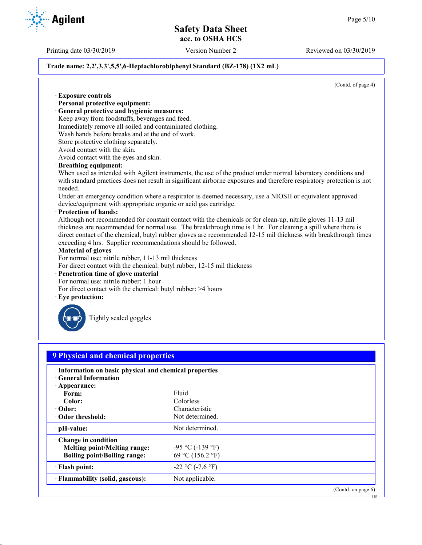Printing date 03/30/2019 Version Number 2 Reviewed on 03/30/2019

#### **Trade name: 2,2',3,3',5,5',6-Heptachlorobiphenyl Standard (BZ-178) (1X2 mL)**

(Contd. of page 4)

· **Exposure controls** · **Personal protective equipment:** · **General protective and hygienic measures:** Keep away from foodstuffs, beverages and feed. Immediately remove all soiled and contaminated clothing. Wash hands before breaks and at the end of work. Store protective clothing separately. Avoid contact with the skin. Avoid contact with the eyes and skin. · **Breathing equipment:** When used as intended with Agilent instruments, the use of the product under normal laboratory conditions and with standard practices does not result in significant airborne exposures and therefore respiratory protection is not needed. Under an emergency condition where a respirator is deemed necessary, use a NIOSH or equivalent approved device/equipment with appropriate organic or acid gas cartridge. · **Protection of hands:** Although not recommended for constant contact with the chemicals or for clean-up, nitrile gloves 11-13 mil thickness are recommended for normal use. The breakthrough time is 1 hr. For cleaning a spill where there is direct contact of the chemical, butyl rubber gloves are recommended 12-15 mil thickness with breakthrough times exceeding 4 hrs. Supplier recommendations should be followed. · **Material of gloves** For normal use: nitrile rubber, 11-13 mil thickness For direct contact with the chemical: butyl rubber, 12-15 mil thickness · **Penetration time of glove material** For normal use: nitrile rubber: 1 hour For direct contact with the chemical: butyl rubber: >4 hours Eye protection: Tightly sealed goggles **9 Physical and chemical properties** · **Information on basic physical and chemical properties** · **General Information** · **Appearance:** Form: Fluid **Color:** Colorless · **Odor:** Characteristic Characteristic Characteristic Characteristic Characteristic Characteristic Characteristic Characteristic Characteristic Characteristic Characteristic Characteristic Characteristic Characteristic Ch **· Odor threshold:** · **pH-value:** Not determined. · **Change in condition Melting point/Melting range:**  $-95 \degree C (-139 \degree F)$ **Boiling point/Boiling range:** 69 °C (156.2 °F)  $\cdot$  **Flash point:**  $-22 \degree C (-7.6 \degree F)$ **Flammability (solid, gaseous):** Not applicable. (Contd. on page 6) US

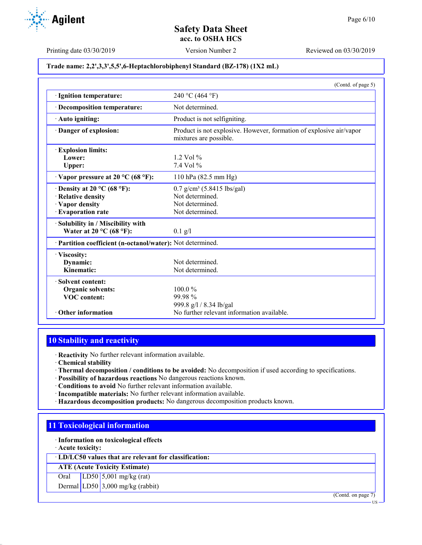#### **Trade name: 2,2',3,3',5,5',6-Heptachlorobiphenyl Standard (BZ-178) (1X2 mL)**

|                                                            | (Contd. of page 5)                                                                            |
|------------------------------------------------------------|-----------------------------------------------------------------------------------------------|
| · Ignition temperature:                                    | 240 °C (464 °F)                                                                               |
| Decomposition temperature:                                 | Not determined.                                                                               |
| Auto igniting:                                             | Product is not selfigniting.                                                                  |
| Danger of explosion:                                       | Product is not explosive. However, formation of explosive air/vapor<br>mixtures are possible. |
| · Explosion limits:                                        |                                                                                               |
| Lower:                                                     | $1.2$ Vol $%$                                                                                 |
| <b>Upper:</b>                                              | $7.4$ Vol $%$                                                                                 |
| $\cdot$ Vapor pressure at 20 °C (68 °F):                   | 110 hPa (82.5 mm Hg)                                                                          |
| $\cdot$ Density at 20 °C (68 °F):                          | $0.7$ g/cm <sup>3</sup> (5.8415 lbs/gal)                                                      |
| · Relative density                                         | Not determined.                                                                               |
| · Vapor density                                            | Not determined.                                                                               |
| · Evaporation rate                                         | Not determined.                                                                               |
| Solubility in / Miscibility with                           |                                                                                               |
| Water at $20^{\circ}$ C (68 °F):                           | $0.1$ g/l                                                                                     |
| · Partition coefficient (n-octanol/water): Not determined. |                                                                                               |
| · Viscosity:                                               |                                                                                               |
| Dynamic:                                                   | Not determined.                                                                               |
| Kinematic:                                                 | Not determined.                                                                               |
| · Solvent content:                                         |                                                                                               |
| Organic solvents:                                          | $100.0\%$                                                                                     |
| <b>VOC</b> content:                                        | 99.98%                                                                                        |
|                                                            | 999.8 g/l / 8.34 lb/gal                                                                       |
| $\cdot$ Other information                                  | No further relevant information available.                                                    |

# **10 Stability and reactivity**

· **Reactivity** No further relevant information available.

· **Chemical stability**

- · **Thermal decomposition / conditions to be avoided:** No decomposition if used according to specifications.
- · **Possibility of hazardous reactions** No dangerous reactions known.
- · **Conditions to avoid** No further relevant information available.
- · **Incompatible materials:** No further relevant information available.
- · **Hazardous decomposition products:** No dangerous decomposition products known.

# **11 Toxicological information**

· **Information on toxicological effects**

· **Acute toxicity:**

· **LD/LC50 values that are relevant for classification:**

**ATE (Acute Toxicity Estimate)**

Oral LD50 5,001 mg/kg (rat)

Dermal LD50 3,000 mg/kg (rabbit)

(Contd. on page 7)

US

Printing date 03/30/2019 Version Number 2 Reviewed on 03/30/2019

**Agilent**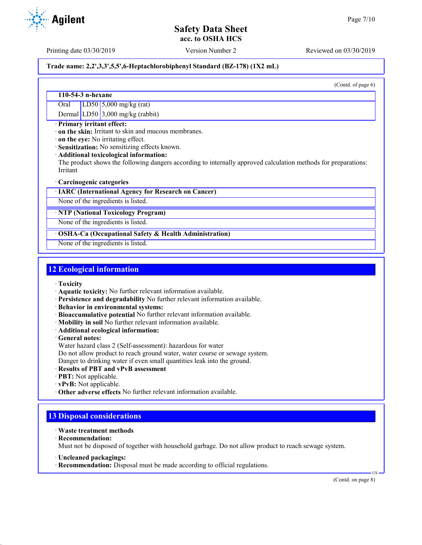Printing date 03/30/2019 Version Number 2 Reviewed on 03/30/2019

### **Trade name: 2,2',3,3',5,5',6-Heptachlorobiphenyl Standard (BZ-178) (1X2 mL)**

(Contd. of page 6)

#### **110-54-3 n-hexane**

Oral LD50 5,000 mg/kg (rat)

Dermal LD50 3,000 mg/kg (rabbit)

#### · **Primary irritant effect:**

· **on the skin:** Irritant to skin and mucous membranes.

· **on the eye:** No irritating effect.

· **Sensitization:** No sensitizing effects known.

· **Additional toxicological information:**

The product shows the following dangers according to internally approved calculation methods for preparations: Irritant

#### · **Carcinogenic categories**

· **IARC (International Agency for Research on Cancer)**

None of the ingredients is listed.

#### · **NTP (National Toxicology Program)**

None of the ingredients is listed.

#### · **OSHA-Ca (Occupational Safety & Health Administration)**

None of the ingredients is listed.

# **12 Ecological information**

- · **Toxicity**
- · **Aquatic toxicity:** No further relevant information available.
- · **Persistence and degradability** No further relevant information available.
- · **Behavior in environmental systems:**
- · **Bioaccumulative potential** No further relevant information available.
- · **Mobility in soil** No further relevant information available.
- · **Additional ecological information:**
- · **General notes:**
- Water hazard class 2 (Self-assessment): hazardous for water
- Do not allow product to reach ground water, water course or sewage system.

Danger to drinking water if even small quantities leak into the ground.

- · **Results of PBT and vPvB assessment**
- · **PBT:** Not applicable.
- · **vPvB:** Not applicable.
- · **Other adverse effects** No further relevant information available.

# **13 Disposal considerations**

- · **Waste treatment methods**
- · **Recommendation:**

Must not be disposed of together with household garbage. Do not allow product to reach sewage system.

- · **Uncleaned packagings:**
- · **Recommendation:** Disposal must be made according to official regulations.

(Contd. on page 8)

US

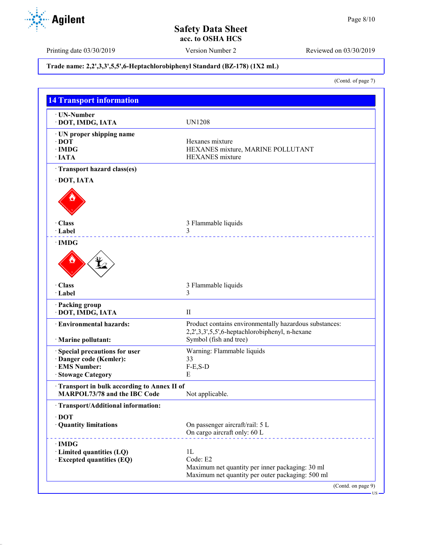Printing date 03/30/2019 Version Number 2 Reviewed on 03/30/2019

# **Trade name: 2,2',3,3',5,5',6-Heptachlorobiphenyl Standard (BZ-178) (1X2 mL)**

(Contd. of page 7)

| · UN-Number<br>· DOT, IMDG, IATA                                                  | <b>UN1208</b>                                                                                            |
|-----------------------------------------------------------------------------------|----------------------------------------------------------------------------------------------------------|
|                                                                                   |                                                                                                          |
| · UN proper shipping name                                                         |                                                                                                          |
| $\cdot$ DOT                                                                       | Hexanes mixture                                                                                          |
| $\cdot$ IMDG<br>$\cdot$ IATA                                                      | HEXANES mixture, MARINE POLLUTANT                                                                        |
|                                                                                   | <b>HEXANES</b> mixture                                                                                   |
| · Transport hazard class(es)                                                      |                                                                                                          |
| · DOT, IATA                                                                       |                                                                                                          |
|                                                                                   |                                                                                                          |
|                                                                                   |                                                                                                          |
| · Class<br>· Label                                                                | 3 Flammable liquids<br>3                                                                                 |
| $\cdot$ IMDG                                                                      |                                                                                                          |
|                                                                                   |                                                                                                          |
| · Class                                                                           | 3 Flammable liquids                                                                                      |
| · Label                                                                           | 3                                                                                                        |
| · Packing group<br>· DOT, IMDG, IATA                                              | $\mathbf{I}$                                                                                             |
|                                                                                   |                                                                                                          |
| · Environmental hazards:                                                          | Product contains environmentally hazardous substances:<br>2,2',3,3',5,5',6-heptachlorobiphenyl, n-hexane |
| · Marine pollutant:                                                               | Symbol (fish and tree)                                                                                   |
|                                                                                   |                                                                                                          |
| Special precautions for user                                                      | Warning: Flammable liquids                                                                               |
| · Danger code (Kemler):<br><b>EMS Number:</b>                                     | 33                                                                                                       |
| · Stowage Category                                                                | $F-E,S-D$<br>Е                                                                                           |
|                                                                                   |                                                                                                          |
| Transport in bulk according to Annex II of<br><b>MARPOL73/78 and the IBC Code</b> | Not applicable.                                                                                          |
| · Transport/Additional information:                                               |                                                                                                          |
| $\cdot$ DOT                                                                       |                                                                                                          |
| · Quantity limitations                                                            | On passenger aircraft/rail: 5 L<br>On cargo aircraft only: 60 L                                          |
| $\cdot$ IMDG                                                                      |                                                                                                          |
| · Limited quantities (LQ)                                                         | 1L                                                                                                       |
| <b>Excepted quantities (EQ)</b>                                                   | Code: E2                                                                                                 |
|                                                                                   | Maximum net quantity per inner packaging: 30 ml                                                          |
|                                                                                   | Maximum net quantity per outer packaging: 500 ml                                                         |

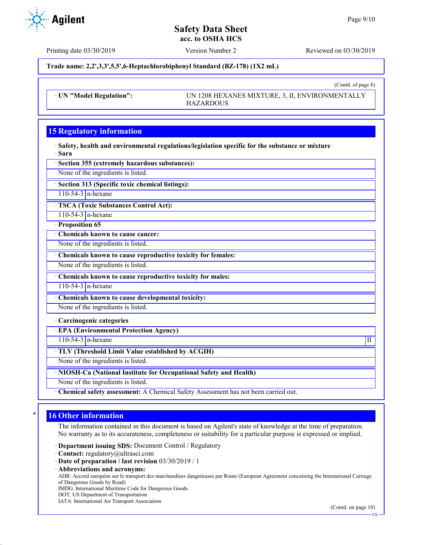(Contd. of page 8)

# **Safety Data Sheet acc. to OSHA HCS**

**Agilent** 

Printing date 03/30/2019 Version Number 2 Reviewed on 03/30/2019

**Trade name: 2,2',3,3',5,5',6-Heptachlorobiphenyl Standard (BZ-178) (1X2 mL)**

· **UN "Model Regulation":** UN 1208 HEXANES MIXTURE, 3, II, ENVIRONMENTALLY HAZARDOUS

# **15 Regulatory information**

· **Safety, health and environmental regulations/legislation specific for the substance or mixture** · **Sara**

· **Section 355 (extremely hazardous substances):**

None of the ingredients is listed.

· **Section 313 (Specific toxic chemical listings):**

110-54-3  $n$ -hexane

· **TSCA (Toxic Substances Control Act):**

110-54-3 n-hexane

· **Proposition 65**

· **Chemicals known to cause cancer:**

None of the ingredients is listed.

· **Chemicals known to cause reproductive toxicity for females:**

None of the ingredients is listed.

· **Chemicals known to cause reproductive toxicity for males:**

110-54-3 n-hexane

· **Chemicals known to cause developmental toxicity:**

None of the ingredients is listed.

· **Carcinogenic categories**

· **EPA (Environmental Protection Agency)**

 $110-54-3$  n-hexane III

· **TLV (Threshold Limit Value established by ACGIH)**

None of the ingredients is listed.

· **NIOSH-Ca (National Institute for Occupational Safety and Health)**

None of the ingredients is listed.

· **Chemical safety assessment:** A Chemical Safety Assessment has not been carried out.

# **16 Other information**

The information contained in this document is based on Agilent's state of knowledge at the time of preparation. No warranty as to its accurateness, completeness or suitability for a particular purpose is expressed or implied.

· **Department issuing SDS:** Document Control / Regulatory

- · **Contact:** regulatory@ultrasci.com
- · **Date of preparation / last revision** 03/30/2019 / 1
- · **Abbreviations and acronyms:**

ADR: Accord européen sur le transport des marchandises dangereuses par Route (European Agreement concerning the International Carriage of Dangerous Goods by Road)

IMDG: International Maritime Code for Dangerous Goods

- DOT: US Department of Transportation
- IATA: International Air Transport Association

US